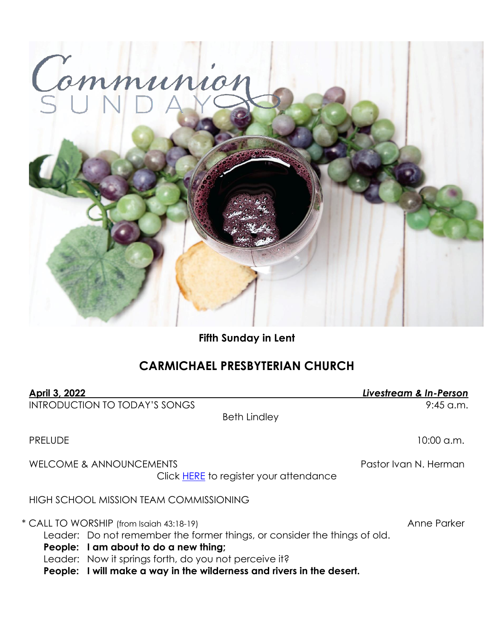

**Fifth Sunday in Lent**

# **CARMICHAEL PRESBYTERIAN CHURCH**

| <b>April 3, 2022</b>                                                                                                                                                                                                    | Livestream & In-Person |  |  |  |
|-------------------------------------------------------------------------------------------------------------------------------------------------------------------------------------------------------------------------|------------------------|--|--|--|
| <b>INTRODUCTION TO TODAY'S SONGS</b>                                                                                                                                                                                    | $9:45$ a.m.            |  |  |  |
| <b>Beth Lindley</b>                                                                                                                                                                                                     |                        |  |  |  |
| <b>PRELUDE</b>                                                                                                                                                                                                          | $10:00$ a.m.           |  |  |  |
| <b>WELCOME &amp; ANNOUNCEMENTS</b><br>Click HERE to register your attendance                                                                                                                                            | Pastor Ivan N. Herman  |  |  |  |
| HIGH SCHOOL MISSION TEAM COMMISSIONING                                                                                                                                                                                  |                        |  |  |  |
| * CALL TO WORSHIP (from Isaiah 43:18-19)<br>Leader: Do not remember the former things, or consider the things of old.<br>People: I am about to do a new thing;<br>Leader: Now it springs forth, do you not perceive it? | Anne Parker            |  |  |  |

**People: I will make a way in the wilderness and rivers in the desert.**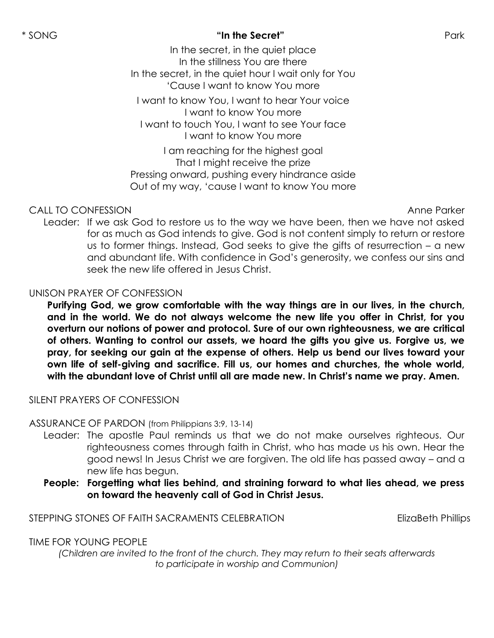# \* SONG **"In the Secret"** Park

In the secret, in the quiet place In the stillness You are there In the secret, in the quiet hour I wait only for You 'Cause I want to know You more I want to know You, I want to hear Your voice I want to know You more I want to touch You, I want to see Your face I want to know You more I am reaching for the highest goal That I might receive the prize Pressing onward, pushing every hindrance aside Out of my way, 'cause I want to know You more

# CALL TO CONFESSION Anne Parker

Leader: If we ask God to restore us to the way we have been, then we have not asked for as much as God intends to give. God is not content simply to return or restore us to former things. Instead, God seeks to give the gifts of resurrection – a new and abundant life. With confidence in God's generosity, we confess our sins and seek the new life offered in Jesus Christ.

# UNISON PRAYER OF CONFESSION

**Purifying God, we grow comfortable with the way things are in our lives, in the church, and in the world. We do not always welcome the new life you offer in Christ, for you overturn our notions of power and protocol. Sure of our own righteousness, we are critical of others. Wanting to control our assets, we hoard the gifts you give us. Forgive us, we pray, for seeking our gain at the expense of others. Help us bend our lives toward your own life of self-giving and sacrifice. Fill us, our homes and churches, the whole world, with the abundant love of Christ until all are made new. In Christ's name we pray. Amen.**

# SILENT PRAYERS OF CONFESSION

ASSURANCE OF PARDON (from Philippians 3:9, 13-14)

- Leader: The apostle Paul reminds us that we do not make ourselves righteous. Our righteousness comes through faith in Christ, who has made us his own. Hear the good news! In Jesus Christ we are forgiven. The old life has passed away – and a new life has begun.
- **People: Forgetting what lies behind, and straining forward to what lies ahead, we press on toward the heavenly call of God in Christ Jesus.**

STEPPING STONES OF FAITH SACRAMENTS CELEBRATION FINITHERRY ElizaBeth Phillips

## TIME FOR YOUNG PEOPLE

*(Children are invited to the front of the church. They may return to their seats afterwards to participate in worship and Communion)*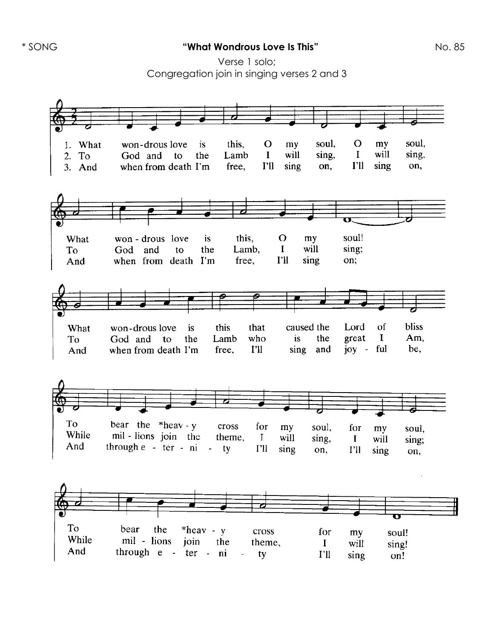#### **"What Wondrous Love Is This**

**"** No. 85

Verse 1 solo; Congregation join in singing verses 2 and 3

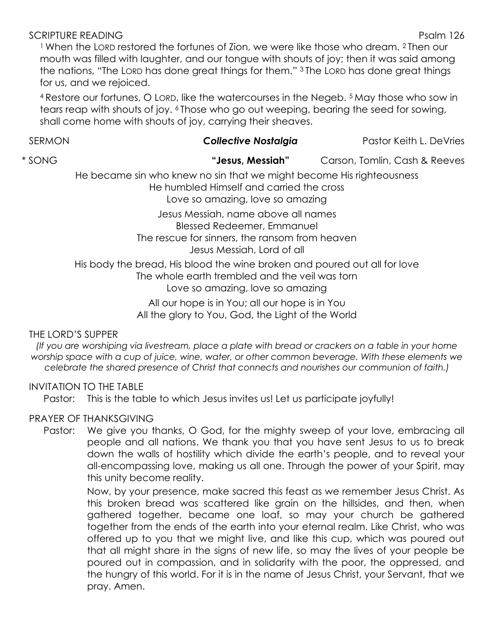## SCRIPTURE READING Psalm 126

<sup>1</sup> When the LORD restored the fortunes of Zion, we were like those who dream. <sup>2</sup> Then our mouth was filled with laughter, and our tongue with shouts of joy; then it was said among the nations, "The LORD has done great things for them." <sup>3</sup> The LORD has done great things for us, and we rejoiced.

<sup>4</sup> Restore our fortunes, O LORD, like the watercourses in the Negeb. <sup>5</sup> May those who sow in tears reap with shouts of joy. <sup>6</sup> Those who go out weeping, bearing the seed for sowing, shall come home with shouts of joy, carrying their sheaves.

| <b>SERMON</b> | <b>Collective Nostalgia</b>                                                                                                                          | Pastor Keith L. DeVries                                                                                                                                                                                                                                  |  |
|---------------|------------------------------------------------------------------------------------------------------------------------------------------------------|----------------------------------------------------------------------------------------------------------------------------------------------------------------------------------------------------------------------------------------------------------|--|
| * SONG        | "Jesus, Messiah"                                                                                                                                     | Carson, Tomlin, Cash & Reeves                                                                                                                                                                                                                            |  |
|               | He became sin who knew no sin that we might become His righteousness<br>He humbled Himself and carried the cross<br>Love so amazing, love so amazing |                                                                                                                                                                                                                                                          |  |
|               | <b>Blessed Redeemer, Emmanuel</b><br>Jesus Messiah, Lord of all                                                                                      | Jesus Messiah, name above all names<br>The rescue for sinners, the ransom from heaven<br>His body the bread, His blood the wine broken and poured out all for love<br>The whole earth trembled and the veil was torn<br>Love so amazing, love so amazing |  |
|               |                                                                                                                                                      |                                                                                                                                                                                                                                                          |  |
|               | All our hope is in You; all our hope is in You<br>All the glory to You, God, the Light of the World                                                  |                                                                                                                                                                                                                                                          |  |

## THE LORD'S SUPPER

*(If you are worshiping via livestream, place a plate with bread or crackers on a table in your home worship space with a cup of juice, wine, water, or other common beverage. With these elements we celebrate the shared presence of Christ that connects and nourishes our communion of faith.)*

## INVITATION TO THE TABLE

Pastor: This is the table to which Jesus invites us! Let us participate joyfully!

## PRAYER OF THANKSGIVING

Pastor: We give you thanks, O God, for the mighty sweep of your love, embracing all people and all nations. We thank you that you have sent Jesus to us to break down the walls of hostility which divide the earth's people, and to reveal your all-encompassing love, making us all one. Through the power of your Spirit, may this unity become reality.

> Now, by your presence, make sacred this feast as we remember Jesus Christ. As this broken bread was scattered like grain on the hillsides, and then, when gathered together, became one loaf, so may your church be gathered together from the ends of the earth into your eternal realm. Like Christ, who was offered up to you that we might live, and like this cup, which was poured out that all might share in the signs of new life, so may the lives of your people be poured out in compassion, and in solidarity with the poor, the oppressed, and the hungry of this world. For it is in the name of Jesus Christ, your Servant, that we pray. Amen.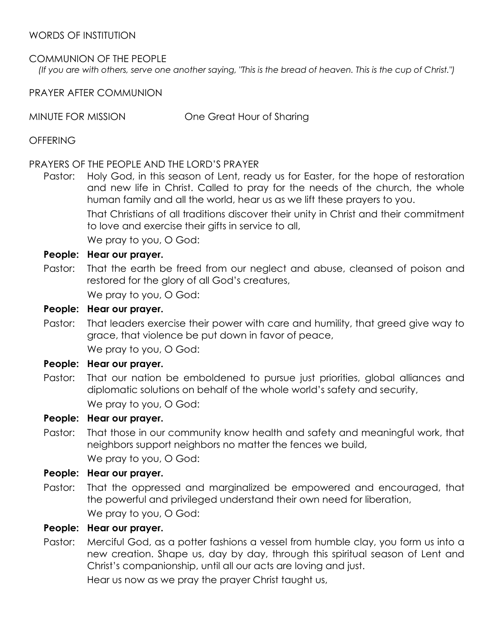## WORDS OF INSTITUTION

## COMMUNION OF THE PEOPLE

*(If you are with others, serve one another saying, "This is the bread of heaven. This is the cup of Christ.")*

## PRAYER AFTER COMMUNION

MINUTE FOR MISSION One Great Hour of Sharing

## **OFFERING**

#### PRAYERS OF THE PEOPLE AND THE LORD'S PRAYER

Pastor: Holy God, in this season of Lent, ready us for Easter, for the hope of restoration and new life in Christ. Called to pray for the needs of the church, the whole human family and all the world, hear us as we lift these prayers to you. That Christians of all traditions discover their unity in Christ and their commitment to love and exercise their gifts in service to all,

We pray to you, O God:

## **People: Hear our prayer.**

Pastor: That the earth be freed from our neglect and abuse, cleansed of poison and restored for the glory of all God's creatures,

We pray to you, O God:

#### **People: Hear our prayer.**

Pastor: That leaders exercise their power with care and humility, that greed give way to grace, that violence be put down in favor of peace, We pray to you, O God:

#### **People: Hear our prayer.**

Pastor: That our nation be emboldened to pursue just priorities, global alliances and diplomatic solutions on behalf of the whole world's safety and security, We pray to you, O God:

## **People: Hear our prayer.**

Pastor: That those in our community know health and safety and meaningful work, that neighbors support neighbors no matter the fences we build, We pray to you, O God:

#### **People: Hear our prayer.**

Pastor: That the oppressed and marginalized be empowered and encouraged, that the powerful and privileged understand their own need for liberation, We pray to you, O God:

#### **People: Hear our prayer.**

Pastor: Merciful God, as a potter fashions a vessel from humble clay, you form us into a new creation. Shape us, day by day, through this spiritual season of Lent and Christ's companionship, until all our acts are loving and just.

Hear us now as we pray the prayer Christ taught us,